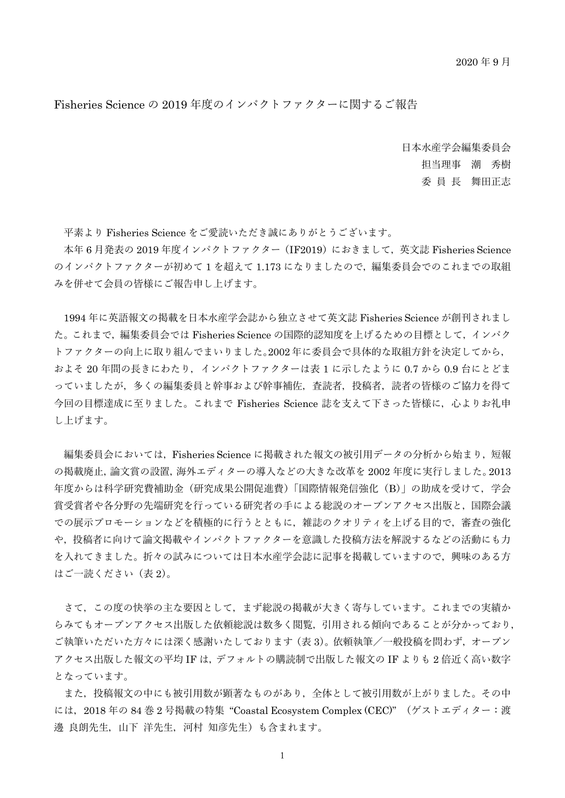Fisheries Science の 2019 年度のインパクトファクターに関するご報告

日本水産学会編集委員会 担当理事 潮 秀樹 委 員 長 舞田正志

平素より Fisheries Science をご愛読いただき誠にありがとうございます。

本年6月発表の 2019年度インパクトファクター (IF2019) におきまして、英文誌 Fisheries Science のインパクトファクターが初めて 1 を超えて 1.173 になりましたので,編集委員会でのこれまでの取組 みを併せて会員の皆様にご報告申し上げます。

1994 年に英語報文の掲載を日本水産学会誌から独立させて英文誌 Fisheries Science が創刊されまし た。これまで,編集委員会では Fisheries Science の国際的認知度を上げるための目標として,インパク トファクターの向上に取り組んでまいりました。2002 年に委員会で具体的な取組方針を決定してから, およそ 20 年間の長きにわたり,インパクトファクターは表 1 に示したように 0.7 から 0.9 台にとどま っていましたが,多くの編集委員と幹事および幹事補佐,査読者,投稿者,読者の皆様のご協力を得て 今回の目標達成に至りました。これまで Fisheries Science 誌を支えて下さった皆様に,心よりお礼申 し上げます。

編集委員会においては、Fisheries Science に掲載された報文の被引用データの分析から始まり, 短報 の掲載廃止,論文賞の設置,海外エディターの導入などの大きな改革を 2002 年度に実行しました。2013 年度からは科学研究費補助金(研究成果公開促進費)「国際情報発信強化(B)」の助成を受けて,学会 賞受賞者や各分野の先端研究を行っている研究者の手による総説のオープンアクセス出版と,国際会議 での展示プロモーションなどを積極的に行うとともに,雑誌のクオリティを上げる目的で,審査の強化 や,投稿者に向けて論文掲載やインパクトファクターを意識した投稿方法を解説するなどの活動にも力 を入れてきました。折々の試みについては日本水産学会誌に記事を掲載していますので,興味のある方 はご一読ください(表 2)。

さて,この度の快挙の主な要因として,まず総説の掲載が大きく寄与しています。これまでの実績か らみてもオープンアクセス出版した依頼総説は数多く閲覧,引用される傾向であることが分かっており, ご執筆いただいた方々には深く感謝いたしております(表 3)。依頼執筆/一般投稿を問わず,オープン アクセス出版した報文の平均 IF は,デフォルトの購読制で出版した報文の IF よりも 2 倍近く高い数字 となっています。

また,投稿報文の中にも被引用数が顕著なものがあり,全体として被引用数が上がりました。その中 には,2018 年の 84 巻 2 号掲載の特集 "Coastal Ecosystem Complex (CEC)" (ゲストエディター:渡 邊 良朗先生,山下 洋先生,河村 知彦先生)も含まれます。

1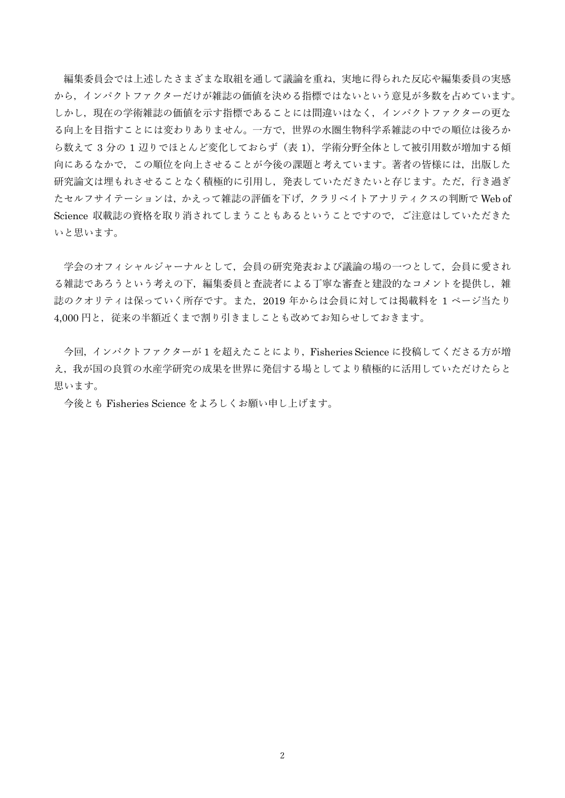編集委員会では上述したさまざまな取組を通して議論を重ね,実地に得られた反応や編集委員の実感 から,インパクトファクターだけが雑誌の価値を決める指標ではないという意見が多数を占めています。 しかし,現在の学術雑誌の価値を示す指標であることには間違いはなく,インパクトファクターの更な る向上を目指すことには変わりありません。一方で,世界の水圏生物科学系雑誌の中での順位は後ろか ら数えて 3 分の 1 辺りでほとんど変化しておらず(表 1),学術分野全体として被引用数が増加する傾 向にあるなかで,この順位を向上させることが今後の課題と考えています。著者の皆様には,出版した 研究論文は埋もれさせることなく積極的に引用し,発表していただきたいと存じます。ただ,行き過ぎ たセルフサイテーションは、かえって雑誌の評価を下げ、クラリベイトアナリティクスの判断で Web of Science 収載誌の資格を取り消されてしまうこともあるということですので,ご注意はしていただきた いと思います。

学会のオフィシャルジャーナルとして,会員の研究発表および議論の場の一つとして,会員に愛され る雑誌であろうという考えの下,編集委員と査読者による丁寧な審査と建設的なコメントを提供し,雑 誌のクオリティは保っていく所存です。また,2019 年からは会員に対しては掲載料を 1 ページ当たり 4,000円と、従来の半額近くまで割り引きましことも改めてお知らせしておきます。

今回,インパクトファクターが 1 を超えたことにより,Fisheries Science に投稿してくださる方が増 え,我が国の良質の水産学研究の成果を世界に発信する場としてより積極的に活用していただけたらと 思います。

今後とも Fisheries Science をよろしくお願い申し上げます。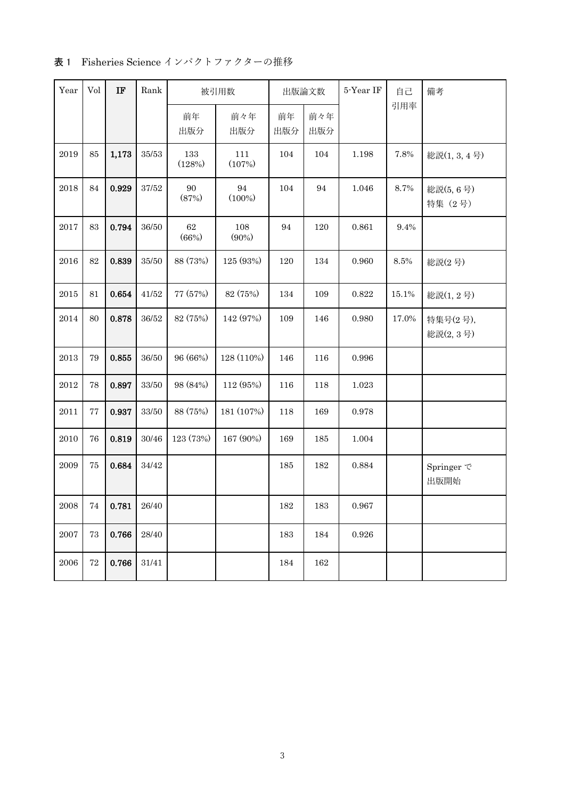|  | 表 1 Fisheries Science インパクトファクターの推移 |  |  |  |  |
|--|-------------------------------------|--|--|--|--|
|--|-------------------------------------|--|--|--|--|

| Year       | Vol    | $_{IF}$ | Rank               |                 | 被引用数<br>出版論文数   |           | 5-Year IF  | 自己        | 備考      |                         |
|------------|--------|---------|--------------------|-----------------|-----------------|-----------|------------|-----------|---------|-------------------------|
|            |        |         |                    | 前年<br>出版分       | 前々年<br>出版分      | 前年<br>出版分 | 前々年<br>出版分 |           | 引用率     |                         |
| 2019       | $85\,$ | 1,173   | 35/53              | 133<br>(128%)   | 111<br>(107%)   | 104       | 104        | 1.198     | 7.8%    | 総説(1, 3, 4号)            |
| 2018       | 84     | 0.929   | 37/52              | 90<br>(87%)     | 94<br>$(100\%)$ | 104       | $\rm 94$   | 1.046     | 8.7%    | 総説(5,6号)<br>特集 (2号)     |
| 2017       | 83     | 0.794   | 36/50              | $62\,$<br>(66%) | 108<br>$(90\%)$ | 94        | 120        | 0.861     | 9.4%    |                         |
| 2016       | 82     | 0.839   | $35/50\,$          | 88 (73%)        | 125 (93%)       | 120       | 134        | 0.960     | $8.5\%$ | 総説(2号)                  |
| 2015       | 81     | 0.654   | 41/52              | 77 (57%)        | 82 (75%)        | 134       | 109        | 0.822     | 15.1%   | 総説(1,2号)                |
| 2014       | 80     | 0.878   | 36/52              | 82 (75%)        | 142 (97%)       | 109       | 146        | 0.980     | 17.0%   | 特集号(2号),<br>総説(2,3号)    |
| 2013       | 79     | 0.855   | 36/50              | 96 (66%)        | 128 (110%)      | 146       | 116        | 0.996     |         |                         |
| $\>2012$   | 78     | 0.897   | $33/50\,$          | 98 (84%)        | 112 (95%)       | 116       | 118        | $1.023\,$ |         |                         |
| 2011       | 77     | 0.937   | $33\slash 50$      | 88 (75%)        | 181 (107%)      | 118       | 169        | 0.978     |         |                         |
| $\,2010\,$ | 76     | 0.819   | 30/46              | 123 (73%)       | 167 (90%)       | 169       | 185        | 1.004     |         |                         |
| 2009       | 75     | 0.684   | 34/42              |                 |                 | 185       | 182        | 0.884     |         | Springer $\tau$<br>出版開始 |
| 2008       | 74     | 0.781   | 26/40              |                 |                 | 182       | 183        | 0.967     |         |                         |
| 2007       | 73     | 0.766   | $28\!/40$          |                 |                 | 183       | 184        | 0.926     |         |                         |
| 2006       | 72     | 0.766   | $31\allowbreak/41$ |                 |                 | 184       | 162        |           |         |                         |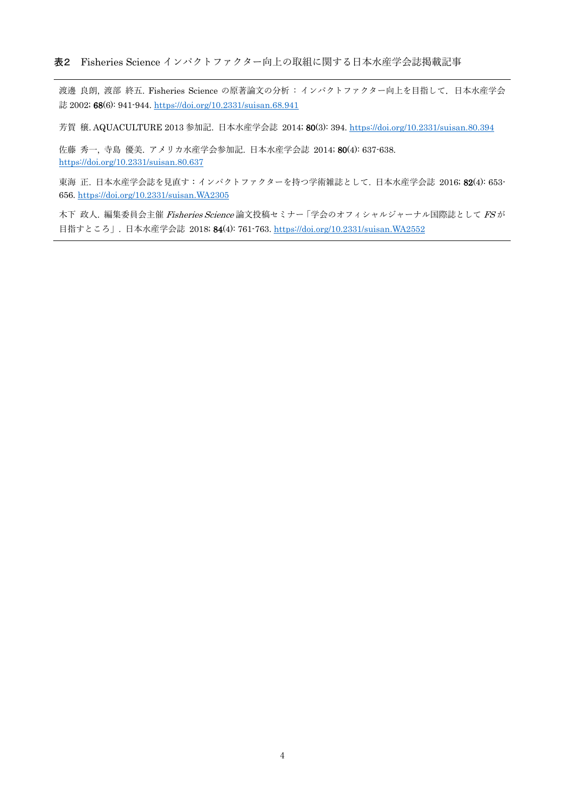渡邊 良朗, 渡部 終五. Fisheries Science の原著論文の分析 : インパクトファクター向上を目指して.日本水産学会 誌 2002; 68(6): 941-944. [https://doi.org/10.2331/suisan.68.941](about:blank)

芳賀 穣. AQUACULTURE 2013 参加記. 日本水産学会誌 2014; 80(3): 394. [https://doi.org/10.2331/suisan.80.394](about:blank)

佐藤 秀一, 寺島 優美. アメリカ水産学会参加記. 日本水産学会誌 2014; 80(4): 637-638. [https://doi.org/10.2331/suisan.80.637](about:blank)

東海 正. 日本水産学会誌を見直す:インパクトファクターを持つ学術雑誌として. 日本水産学会誌 2016; 82(4): 653- 656. [https://doi.org/10.2331/suisan.WA2305](about:blank)

木下 政人. 編集委員会主催 Fisheries Science 論文投稿セミナー「学会のオフィシャルジャーナル国際誌として FSが 目指すところ」. 日本水産学会誌 2018; 84(4): 761-763[. https://doi.org/10.2331/suisan.WA2552](about:blank)